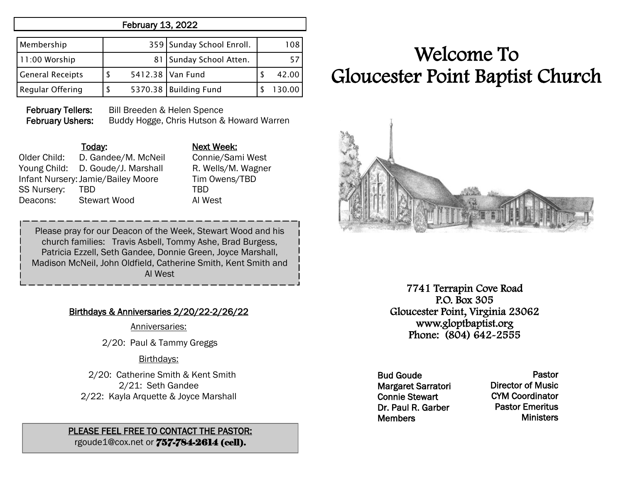## February 13, 2022

| Membership              |  | 359 Sunday School Enroll. | 108    |
|-------------------------|--|---------------------------|--------|
| 11:00 Worship           |  | 81   Sunday School Atten. |        |
| <b>General Receipts</b> |  | 5412.38 Van Fund          | 42.00  |
| <b>Regular Offering</b> |  | 5370.38 Building Fund     | 130.00 |

February Tellers: Bill Breeden & Helen Spence February Ushers: Buddy Hogge, Chris Hutson & Howard Warren

Older Child: D. Gandee/M. McNeil Connie/Sami West Young Child: D. Goude/J. Marshall R. Wells/M. Wagner Infant Nursery:Jamie/Bailey Moore Tim Owens/TBD SS Nursery: TBD TBD TBD Deacons: Stewart Wood Al West

Today: Next Week:

Please pray for our Deacon of the Week, Stewart Wood and his church families: Travis Asbell, Tommy Ashe, Brad Burgess, Patricia Ezzell, Seth Gandee, Donnie Green, Joyce Marshall, Madison McNeil, John Oldfield, Catherine Smith, Kent Smith and Al West

### Birthdays & Anniversaries 2/20/22-2/26/22

Anniversaries:

2/20: Paul & Tammy Greggs

#### Birthdays:

 2/20: Catherine Smith & Kent Smith 2/21: Seth Gandee 2/22: Kayla Arquette & Joyce Marshall

#### PLEASE FEEL FREE TO CONTACT THE PASTOR: rgoude1@cox.net or 757-784-2614 (cell).

# Welcome To Gloucester Point Baptist Church



7741 Terrapin Cove Road P.O. Box 305 Gloucester Point, Virginia 23062 www.gloptbaptist.org Phone: (804) 642-2555

Bud Goude Margaret Sarratori Connie Stewart Dr. Paul R. Garber **Members** 

Pastor Director of Music CYM Coordinator Pastor Emeritus **Ministers**